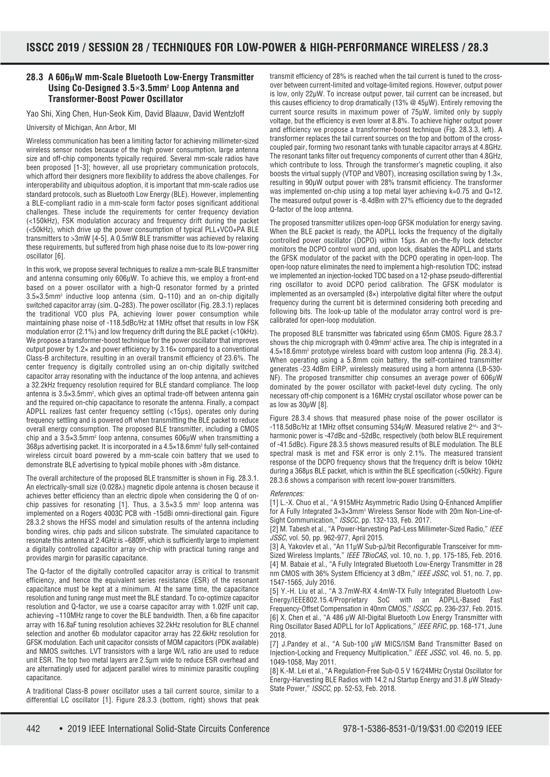## **28.3 A 606µW mm-Scale Bluetooth Low-Energy Transmitter Using Co-Designed 3.5×3.5mm2 Loop Antenna and Transformer-Boost Power Oscillator**

Yao Shi, Xing Chen, Hun-Seok Kim, David Blaauw, David Wentzloff

University of Michigan, Ann Arbor, MI

Wireless communication has been a limiting factor for achieving millimeter-sized wireless sensor nodes because of the high power consumption, large antenna size and off-chip components typically required. Several mm-scale radios have been proposed [1-3]; however, all use proprietary communication protocols, which afford their designers more flexibility to address the above challenges. For interoperability and ubiquitous adoption, it is important that mm-scale radios use standard protocols, such as Bluetooth Low Energy (BLE). However, implementing a BLE-compliant radio in a mm-scale form factor poses significant additional challenges. These include the requirements for center frequency deviation (<150kHz), FSK modulation accuracy and frequency drift during the packet (<50kHz), which drive up the power consumption of typical PLL+VCO+PA BLE transmitters to >3mW [4-5]. A 0.5mW BLE transmitter was achieved by relaxing these requirements, but suffered from high phase noise due to its low-power ring oscillator [6].

In this work, we propose several techniques to realize a mm-scale BLE transmitter and antenna consuming only 606μW. To achieve this, we employ a front-end based on a power oscillator with a high-Q resonator formed by a printed 3.5×3.5mm2 inductive loop antenna (sim. Q~110) and an on-chip digitally switched capacitor array (sim. Q~283). The power oscillator (Fig. 28.3.1) replaces the traditional VCO plus PA, achieving lower power consumption while maintaining phase noise of -118.5dBc/Hz at 1MHz offset that results in low FSK modulation error (2.1%) and low frequency drift during the BLE packet (<10kHz). We propose a transformer-boost technique for the power oscillator that improves output power by 1.2× and power efficiency by 3.16× compared to a conventional Class-B architecture, resulting in an overall transmit efficiency of 23.6%. The center frequency is digitally controlled using an on-chip digitally switched capacitor array resonating with the inductance of the loop antenna, and achieves a 32.2kHz frequency resolution required for BLE standard compliance. The loop antenna is  $3.5 \times 3.5$ mm<sup>2</sup>, which gives an optimal trade-off between antenna gain and the required on-chip capacitance to resonate the antenna. Finally, a compact ADPLL realizes fast center frequency settling (<15μs), operates only during frequency settling and is powered off when transmitting the BLE packet to reduce overall energy consumption. The proposed BLE transmitter, including a CMOS chip and a 3.5×3.5mm2 loop antenna, consumes 606μW when transmitting a 368μs advertising packet. It is incorporated in a 4.5×18.6mm2 fully self-contained wireless circuit board powered by a mm-scale coin battery that we used to demonstrate BLE advertising to typical mobile phones with >8m distance.

The overall architecture of the proposed BLE transmitter is shown in Fig. 28.3.1. An electrically-small size (0.028λ) magnetic dipole antenna is chosen because it achieves better efficiency than an electric dipole when considering the Q of onchip passives for resonating [1]. Thus, a  $3.5 \times 3.5$  mm<sup>2</sup> loop antenna was implemented on a Rogers 4003C PCB with -15dBi omni-directional gain. Figure 28.3.2 shows the HFSS model and simulation results of the antenna including bonding wires, chip pads and silicon substrate. The simulated capacitance to resonate this antenna at 2.4GHz is ~680fF, which is sufficiently large to implement a digitally controlled capacitor array on-chip with practical tuning range and provides margin for parasitic capacitance.

The Q-factor of the digitally controlled capacitor array is critical to transmit efficiency, and hence the equivalent series resistance (ESR) of the resonant capacitance must be kept at a minimum. At the same time, the capacitance resolution and tuning range must meet the BLE standard. To co-optimize capacitor resolution and Q-factor, we use a coarse capacitor array with 1.02fF unit cap, achieving ~110MHz range to cover the BLE bandwidth. Then, a 6b fine capacitor array with 16.8aF tuning resolution achieves 32.2kHz resolution for BLE channel selection and another 6b modulator capacitor array has 22.6kHz resolution for GFSK modulation. Each unit capacitor consists of MOM capacitors (PDK available) and NMOS switches. LVT transistors with a large W/L ratio are used to reduce unit ESR. The top two metal layers are 2.5μm wide to reduce ESR overhead and are alternatingly used for adjacent parallel wires to minimize parasitic coupling capacitance.

A traditional Class-B power oscillator uses a tail current source, similar to a differential LC oscillator [1]. Figure 28.3.3 (bottom, right) shows that peak transmit efficiency of 28% is reached when the tail current is tuned to the crossover between current-limited and voltage-limited regions. However, output power is low, only 22μW. To increase output power, tail current can be increased, but this causes efficiency to drop dramatically (13% @ 45μW). Entirely removing the current source results in maximum power of 75μW, limited only by supply voltage, but the efficiency is even lower at 8.8%. To achieve higher output power and efficiency we propose a transformer-boost technique (Fig. 28.3.3, left). A transformer replaces the tail current sources on the top and bottom of the crosscoupled pair, forming two resonant tanks with tunable capacitor arrays at 4.8GHz. The resonant tanks filter out frequency components of current other than 4.8GHz, which contribute to loss. Through the transformer's magnetic coupling, it also boosts the virtual supply (VTOP and VBOT), increasing oscillation swing by 1.3×, resulting in 90μW output power with 28% transmit efficiency. The transformer was implemented on-chip using a top metal layer achieving k=0.75 and Q=12. The measured output power is -8.4dBm with 27% efficiency due to the degraded Q-factor of the loop antenna.

The proposed transmitter utilizes open-loop GFSK modulation for energy saving. When the BLE packet is ready, the ADPLL locks the frequency of the digitally controlled power oscillator (DCPO) within 15μs. An on-the-fly lock detector monitors the DCPO control word and, upon lock, disables the ADPLL and starts the GFSK modulator of the packet with the DCPO operating in open-loop. The open-loop nature eliminates the need to implement a high-resolution TDC; instead we implemented an injection-locked TDC based on a 12-phase pseudo-differential ring oscillator to avoid DCPO period calibration. The GFSK modulator is implemented as an oversampled  $(8x)$  interpolative digital filter where the output frequency during the current bit is determined considering both preceding and following bits. The look-up table of the modulator array control word is precalibrated for open-loop modulation.

The proposed BLE transmitter was fabricated using 65nm CMOS. Figure 28.3.7 shows the chip micrograph with 0.49mm<sup>2</sup> active area. The chip is integrated in a 4.5×18.6mm2 prototype wireless board with custom loop antenna (Fig. 28.3.4). When operating using a 5.8mm coin battery, the self-contained transmitter generates -23.4dBm EIRP, wirelessly measured using a horn antenna (LB-530- NF). The proposed transmitter chip consumes an average power of 606μW dominated by the power oscillator with packet-level duty cycling. The only necessary off-chip component is a 16MHz crystal oscillator whose power can be as low as 30μW [8].

Figure 28.3.4 shows that measured phase noise of the power oscillator is -118.5dBc/Hz at 1MHz offset consuming 534μW. Measured relative 2<sup>nd</sup>- and 3<sup>rd</sup>harmonic power is -47dBc and -52dBc, respectively (both below BLE requirement of -41.5dBc). Figure 28.3.5 shows measured results of BLE modulation. The BLE spectral mask is met and FSK error is only 2.1%. The measured transient response of the DCPO frequency shows that the frequency drift is below 10kHz during a 368μs BLE packet, which is within the BLE specification (<50kHz). Figure 28.3.6 shows a comparison with recent low-power transmitters.

## References:

[1] L.-X. Chuo et al., "A 915MHz Asymmetric Radio Using Q-Enhanced Amplifier for A Fully Integrated  $3\times3\times3$ mm<sup>3</sup> Wireless Sensor Node with 20m Non-Line-of-Sight Communication," ISSCC, pp. 132-133, Feb. 2017.

[2] M. Tabesh et al., "A Power-Harvesting Pad-Less Millimeter-Sized Radio," IEEE JSSC, vol. 50, pp. 962-977, April 2015.

[3] A, Yakovlev et al., "An 11µW Sub-pJ/bit Reconfigurable Transceiver for mm-Sized Wireless Implants," IEEE TBioCAS, vol. 10, no. 1, pp. 175-185, Feb. 2016. [4] M. Babaie et al., "A Fully Integrated Bluetooth Low-Energy Transmitter in 28 nm CMOS with 36% System Efficiency at 3 dBm," IEEE JSSC, vol. 51, no. 7, pp. 1547-1565, July 2016.

[5] Y.-H. Liu et al., "A 3.7mW-RX 4.4mW-TX Fully Integrated Bluetooth Low-Energy/IEEE802.15.4/Proprietary SoC with an ADPLL-Based Fast Frequency-Offset Compensation in 40nm CMOS," ISSCC, pp. 236-237, Feb. 2015. [6] X. Chen et al., "A 486 μW All-Digital Bluetooth Low Energy Transmitter with Ring Oscillator Based ADPLL for IoT Applications," IEEE RFIC, pp. 168-171, June 2018.

[7] J.Pandey et al., "A Sub-100 μW MICS/ISM Band Transmitter Based on Injection-Locking and Frequency Multiplication," IEEE JSSC, vol. 46, no. 5, pp. 1049-1058, May 2011.

[8] K.-M. Lei et al., "A Regulation-Free Sub-0.5 V 16/24MHz Crystal Oscillator for Energy-Harvesting BLE Radios with 14.2 nJ Startup Energy and 31.8 μW Steady-State Power," ISSCC, pp. 52-53, Feb. 2018.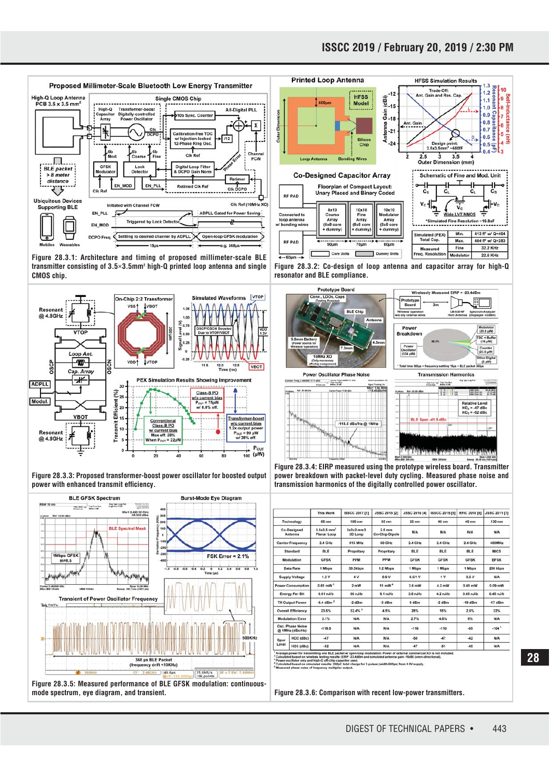

**Figure 28.3.1: Architecture and timing of proposed millimeter-scale BLE transmitter consisting of 3.5×3.5mm2 high-Q printed loop antenna and single CMOS chip.**



**Figure 28.3.3: Proposed transformer-boost power oscillator for boosted output power with enhanced transmit efficiency.**





**Figure 28.3.2: Co-design of loop antenna and capacitor array for high-Q resonator and BLE compliance.**



**Power Oscillator Phase Noise** 

 $-118.5$ 



sly Measured EIRP = -23.4dBn

J

**Figure 28.3.4: EIRP measured using the prototype wireless board. Transmitter power breakdown with packet-level duty cycling. Measured phase noise and transmission harmonics of the digitally controlled power oscillator.**

**Kr1 1.04 M** 

/Hz @ 1MHz

|                                     |           | <b>This Work</b>                         | <b>ISSCC 2017 [1]</b> | <b>JSSC 2015 [2]</b>                      | <b>JSSC 2016 [4]</b> | <b>ISSCC 2015 [5]</b> | <b>RFIC 2018 [6]</b> | <b>JSSC 2011 [7]</b> |
|-------------------------------------|-----------|------------------------------------------|-----------------------|-------------------------------------------|----------------------|-----------------------|----------------------|----------------------|
| Technology                          |           | 65 nm                                    | 180 nm                | 65 nm                                     | $28 \text{ nm}$      | 40 nm                 | 40 nm                | 130 nm               |
| <b>Co-Designed</b><br>Antenna       |           | $3.5x3.5$ mm <sup>2</sup><br>Planar Loop | 3x3x2mm3<br>3D Loop   | $2.5$ mm<br>On-Chip Dipole                | <b>N/A</b>           | <b>N/A</b>            | <b>N/A</b>           | <b>N/A</b>           |
| <b>Carrier Frequency</b>            |           | 2.4 GHz                                  | 915 MHz               | 60 GHz                                    | 2.4 GHz              | 2.4 GHz               | 2.4 GHz              | 400MHz               |
| Standard                            |           | <b>BLE</b>                               | Propritary            | Propritary                                | BLE                  | <b>BLE</b>            | <b>BLE</b>           | <b>MICS</b>          |
| Modulation                          |           | <b>GFSK</b>                              | <b>PPM</b>            | PPM                                       | <b>GFSK</b>          | <b>GFSK</b>           | <b>GFSK</b>          | <b>BFSK</b>          |
| Data Rate                           |           | 1 Mbps                                   | 30.3kbps              | 1.2 Mbps                                  | 1 Mbps               | 1 Mbps                | 1 Mbps               | 200 kbps             |
| <b>Supply Voltage</b>               |           | 1.2V                                     | 4 V                   | 0.9 V                                     | $0.5/1$ V            | 1V                    | 0.6 V                | <b>N/A</b>           |
| <b>Power Consumption</b>            |           | $0.61$ mW $1$                            | $2 \text{ mW}$        | $11 \text{ mW}$ <sup><math>4</math></sup> | 3.6 mW               | 4.2 mW                | $0.49$ mW            | $0.09$ mW            |
| <b>Energy Per Bit</b>               |           | $0.61$ $n$ J/b                           | 66 nJ/b               | $9.1$ $nJ/b$                              | $3.6$ nJ/b           | $4.2$ $nJ/b$          | $0.49$ $n$ $J/b$     | $0.45$ nJ/b          |
| <b>TX Output Power</b>              |           | $-8.4$ dBm $^2$                          | $-2$ dBm              | $-3$ dBm                                  | $0$ dBm              | $-2$ dBm              | $-19$ dBm            | $-17dBm$             |
| <b>Overall Efficiency</b>           |           | 23.6%                                    | $32.4%$ <sup>3</sup>  | 4.5%                                      | 28%                  | 15%                   | 2.6%                 | 22%                  |
| <b>Modulation Error</b>             |           | 2.1%                                     | N/A                   | <b>N/A</b>                                | 2.7%                 | 4.8%                  | 9%                   | <b>N/A</b>           |
| Osc. Phase Noise<br>@ 1MHz (dBc/Hz) |           | $-118.5$                                 | <b>N/A</b>            | <b>N/A</b>                                | $-116$               | $-110$                | $-85$                | $-1045$              |
| Spur<br>Level                       | HD2 (dBc) | $-47$                                    | N/A                   | <b>N/A</b>                                | $-50$                | $-47$                 | $-42$                | <b>N/A</b>           |
|                                     | HD3 (dBc) | $-52$                                    | <b>N/A</b>            | <b>N/A</b>                                | $-47$                | $-51$                 | $-45$                | <b>N/A</b>           |